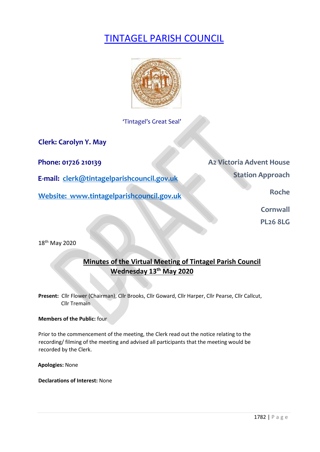# TINTAGEL PARISH COUNCIL



'Tintagel's Great Seal'

**Clerk: Carolyn Y. May** 

**E-mail: clerk@tintagelparishcouncil.gov.uk** 

**Website:** www.tintagelparishcouncil.gov.uk **Roche Roche Roche** 

**Phone: 01726 210139 A2 Victoria Advent House Station Approach** 

**Cornwall** 

**PL26 8LG** 

18 th May 2020

## **Minutes of the Virtual Meeting of Tintagel Parish Council Wednesday 13th May 2020**

**Present:** Cllr Flower (Chairman), Cllr Brooks, Cllr Goward, Cllr Harper, Cllr Pearse, Cllr Callcut, Cllr Tremain

#### **Members of the Public:** four

Prior to the commencement of the meeting, the Clerk read out the notice relating to the recording/ filming of the meeting and advised all participants that the meeting would be recorded by the Clerk.

**Apologies:** None

**Declarations of Interest:** None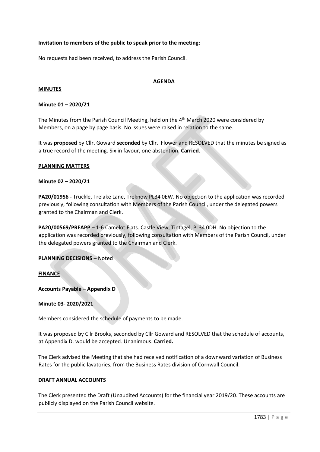#### **Invitation to members of the public to speak prior to the meeting:**

No requests had been received, to address the Parish Council.

#### **AGENDA**

#### **MINUTES**

#### **Minute 01 – 2020/21**

The Minutes from the Parish Council Meeting, held on the 4<sup>th</sup> March 2020 were considered by Members, on a page by page basis. No issues were raised in relation to the same.

It was **proposed** by Cllr. Goward **seconded** by Cllr. Flower and RESOLVED that the minutes be signed as a true record of the meeting. Six in favour, one abstention. **Carried**.

#### **PLANNING MATTERS**

#### **Minute 02 – 2020/21**

**PA20/01956 -** Truckle, Trelake Lane, Treknow PL34 0EW. No objection to the application was recorded previously, following consultation with Members of the Parish Council, under the delegated powers granted to the Chairman and Clerk.

**PA20/00569/PREAPP** – 1-6 Camelot Flats. Castle View, Tintagel, PL34 0DH. No objection to the application was recorded previously, following consultation with Members of the Parish Council, under the delegated powers granted to the Chairman and Clerk.

#### **PLANNING DECISIONS** – Noted

#### **FINANCE**

**Accounts Payable – Appendix D**

#### **Minute 03- 2020/2021**

Members considered the schedule of payments to be made.

It was proposed by Cllr Brooks, seconded by Cllr Goward and RESOLVED that the schedule of accounts, at Appendix D. would be accepted. Unanimous. **Carried.**

The Clerk advised the Meeting that she had received notification of a downward variation of Business Rates for the public lavatories, from the Business Rates division of Cornwall Council.

#### **DRAFT ANNUAL ACCOUNTS**

The Clerk presented the Draft (Unaudited Accounts) for the financial year 2019/20. These accounts are publicly displayed on the Parish Council website.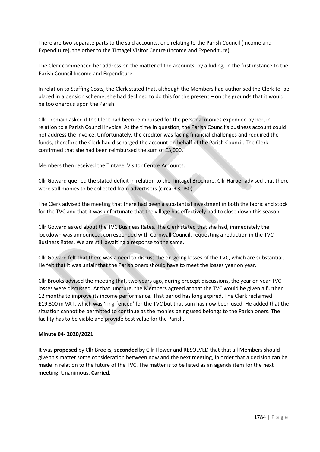There are two separate parts to the said accounts, one relating to the Parish Council (Income and Expenditure), the other to the Tintagel Visitor Centre (Income and Expenditure).

The Clerk commenced her address on the matter of the accounts, by alluding, in the first instance to the Parish Council Income and Expenditure.

In relation to Staffing Costs, the Clerk stated that, although the Members had authorised the Clerk to be placed in a pension scheme, she had declined to do this for the present – on the grounds that it would be too onerous upon the Parish.

Cllr Tremain asked if the Clerk had been reimbursed for the personal monies expended by her, in relation to a Parish Council Invoice. At the time in question, the Parish Council's business account could not address the invoice. Unfortunately, the creditor was facing financial challenges and required the funds, therefore the Clerk had discharged the account on behalf of the Parish Council. The Clerk confirmed that she had been reimbursed the sum of £3,000.

Members then received the Tintagel Visitor Centre Accounts.

Cllr Goward queried the stated deficit in relation to the Tintagel Brochure. Cllr Harper advised that there were still monies to be collected from advertisers (circa: £3,060).

The Clerk advised the meeting that there had been a substantial investment in both the fabric and stock for the TVC and that it was unfortunate that the village has effectively had to close down this season.

Cllr Goward asked about the TVC Business Rates. The Clerk stated that she had, immediately the lockdown was announced, corresponded with Cornwall Council, requesting a reduction in the TVC Business Rates. We are still awaiting a response to the same.

Cllr Goward felt that there was a need to discuss the on-going losses of the TVC, which are substantial. He felt that it was unfair that the Parishioners should have to meet the losses year on year.

Cllr Brooks advised the meeting that, two years ago, during precept discussions, the year on year TVC losses were discussed. At that juncture, the Members agreed at that the TVC would be given a further 12 months to improve its income performance. That period has long expired. The Clerk reclaimed £19,300 in VAT, which was 'ring-fenced' for the TVC but that sum has now been used. He added that the situation cannot be permitted to continue as the monies being used belongs to the Parishioners. The facility has to be viable and provide best value for the Parish.

#### **Minute 04- 2020/2021**

It was **proposed** by Cllr Brooks, **seconded** by Cllr Flower and RESOLVED that that all Members should give this matter some consideration between now and the next meeting, in order that a decision can be made in relation to the future of the TVC. The matter is to be listed as an agenda item for the next meeting. Unanimous. **Carried.**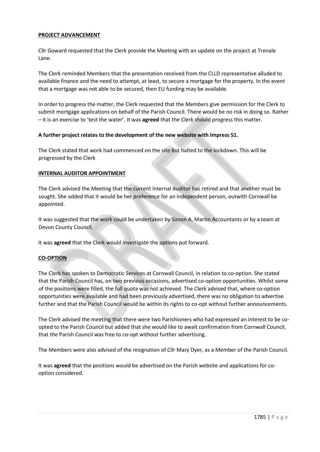#### **PROJECT ADVANCEMENT**

Cllr Goward requested that the Clerk provide the Meeting with an update on the project at Trenale Lane.

The Clerk reminded Members that the presentation received from the CLLD representative alluded to available finance and the need to attempt, at least, to secure a mortgage for the property. In the event that a mortgage was not able to be secured, then EU funding may be available.

In order to progress the matter, the Clerk requested that the Members give permission for the Clerk to submit mortgage applications on behalf of the Parish Council. There would be no risk in doing so. Rather – it is an exercise to 'test the water'. It was **agreed** that the Clerk should progress this matter.

#### **A further project relates to the development of the new website with Impress 51.**

The Clerk stated that work had commenced on the site but halted to the lockdown. This will be progressed by the Clerk

#### **INTERNAL AUDITOR APPOINTMENT**

The Clerk advised the Meeting that the current Internal Auditor has retired and that another must be sought. She added that it would be her preference for an independent person, outwith Cornwall be appointed.

It was suggested that the work could be undertaken by Simon A. Martin Accountants or by a team at Devon County Council.

It was **agreed** that the Clerk would investigate the options put forward.

#### **CO-OPTION**

The Clerk has spoken to Democratic Services at Cornwall Council, in relation to co-option. She stated that the Parish Council has, on two previous occasions, advertised co-option opportunities. Whilst some of the positions were filled, the full quota was not achieved. The Clerk advised that, where co-option opportunities were available and had been previously advertised, there was no obligation to advertise further and that the Parish Council would be within its rights to co-opt without further announcements.

The Clerk advised the meeting that there were two Parishioners who had expressed an interest to be coopted to the Parish Council but added that she would like to await confirmation from Cornwall Council, that the Parish Council was free to co-opt without further advertising.

The Members were also advised of the resignation of Cllr Mary Dyer, as a Member of the Parish Council.

It was **agreed** that the positions would be advertised on the Parish website and applications for cooption considered.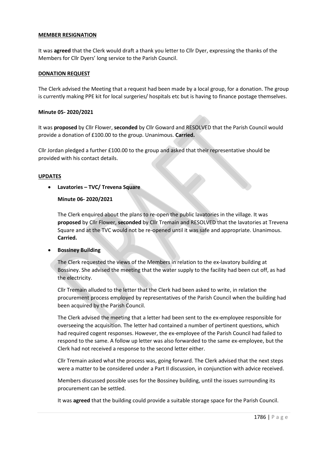#### **MEMBER RESIGNATION**

It was **agreed** that the Clerk would draft a thank you letter to Cllr Dyer, expressing the thanks of the Members for Cllr Dyers' long service to the Parish Council.

#### **DONATION REQUEST**

The Clerk advised the Meeting that a request had been made by a local group, for a donation. The group is currently making PPE kit for local surgeries/ hospitals etc but is having to finance postage themselves.

#### **Minute 05- 2020/2021**

It was **proposed** by Cllr Flower, **seconded** by Cllr Goward and RESOLVED that the Parish Council would provide a donation of £100.00 to the group. Unanimous. **Carried.**

Cllr Jordan pledged a further £100.00 to the group and asked that their representative should be provided with his contact details.

#### **UPDATES**

• **Lavatories – TVC/ Trevena Square**

#### **Minute 06- 2020/2021**

The Clerk enquired about the plans to re-open the public lavatories in the village. It was **proposed** by Cllr Flower, **seconded** by Cllr Tremain and RESOLVED that the lavatories at Trevena Square and at the TVC would not be re-opened until it was safe and appropriate. Unanimous. **Carried.**

#### • **Bossiney Building**

The Clerk requested the views of the Members in relation to the ex-lavatory building at Bossiney. She advised the meeting that the water supply to the facility had been cut off, as had the electricity.

Cllr Tremain alluded to the letter that the Clerk had been asked to write, in relation the procurement process employed by representatives of the Parish Council when the building had been acquired by the Parish Council.

The Clerk advised the meeting that a letter had been sent to the ex-employee responsible for overseeing the acquisition. The letter had contained a number of pertinent questions, which had required cogent responses. However, the ex-employee of the Parish Council had failed to respond to the same. A follow up letter was also forwarded to the same ex-employee, but the Clerk had not received a response to the second letter either.

Cllr Tremain asked what the process was, going forward. The Clerk advised that the next steps were a matter to be considered under a Part II discussion, in conjunction with advice received.

Members discussed possible uses for the Bossiney building, until the issues surrounding its procurement can be settled.

It was **agreed** that the building could provide a suitable storage space for the Parish Council.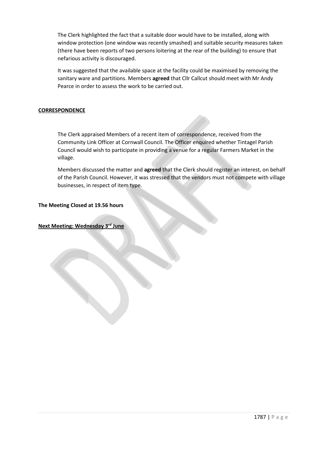The Clerk highlighted the fact that a suitable door would have to be installed, along with window protection (one window was recently smashed) and suitable security measures taken (there have been reports of two persons loitering at the rear of the building) to ensure that nefarious activity is discouraged.

It was suggested that the available space at the facility could be maximised by removing the sanitary ware and partitions. Members **agreed** that Cllr Callcut should meet with Mr Andy Pearce in order to assess the work to be carried out.

#### **CORRESPONDENCE**

The Clerk appraised Members of a recent item of correspondence, received from the Community Link Officer at Cornwall Council. The Officer enquired whether Tintagel Parish Council would wish to participate in providing a venue for a regular Farmers Market in the village.

Members discussed the matter and **agreed** that the Clerk should register an interest, on behalf of the Parish Council. However, it was stressed that the vendors must not compete with village businesses, in respect of item type.

#### **The Meeting Closed at 19.56 hours**

**Next Meeting: Wednesday 3rd June**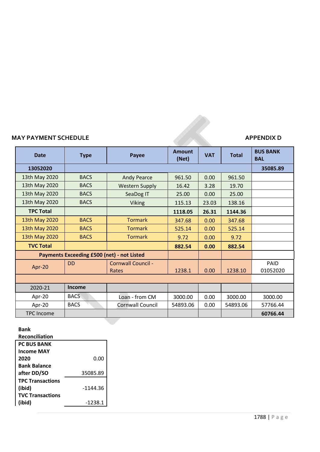# **MAY PAYMENT SCHEDULE**

| <b>Date</b>                                       | <b>Type</b> | Payee                       | <b>Amount</b><br>(Net) | <b>VAT</b> | <b>Total</b> | <b>BUS BANK</b><br><b>BAL</b> |
|---------------------------------------------------|-------------|-----------------------------|------------------------|------------|--------------|-------------------------------|
| 13052020                                          |             |                             |                        |            |              | 35085.89                      |
| 13th May 2020                                     | <b>BACS</b> | <b>Andy Pearce</b>          | 961.50                 | 0.00       | 961.50       |                               |
| 13th May 2020                                     | <b>BACS</b> | <b>Western Supply</b>       | 16.42                  | 3.28       | 19.70        |                               |
| 13th May 2020                                     | <b>BACS</b> | SeaDog IT                   | 25.00                  | 0.00       | 25.00        |                               |
| 13th May 2020                                     | <b>BACS</b> | <b>Viking</b>               | 115.13                 | 23.03      | 138.16       |                               |
| <b>TPC Total</b>                                  |             |                             | 1118.05                | 26.31      | 1144.36      |                               |
| 13th May 2020                                     | <b>BACS</b> | <b>Tormark</b>              | 347.68                 | 0.00       | 347.68       |                               |
| 13th May 2020                                     | <b>BACS</b> | <b>Tormark</b>              | 525.14                 | 0.00       | 525.14       |                               |
| 13th May 2020                                     | <b>BACS</b> | <b>Tormark</b>              | 9.72                   | 0.00       | 9.72         |                               |
| <b>TVC Total</b>                                  |             |                             | 882.54                 | 0.00       | 882.54       |                               |
| <b>Payments Exceeding £500 (net) - not Listed</b> |             |                             |                        |            |              |                               |
| Apr-20                                            | <b>DD</b>   | Cornwall Council -<br>Rates | 1238.1                 | 0.00       | 1238.10      | PAID<br>01052020              |
|                                                   |             |                             |                        |            |              |                               |
| 2020-21                                           | Income      |                             |                        |            |              |                               |
| Apr-20                                            | <b>BACS</b> | Loan - from CM              | 3000.00                | 0.00       | 3000.00      | 3000.00                       |
| Apr-20                                            | <b>BACS</b> | <b>Cornwall Council</b>     | 54893.06               | 0.00       | 54893.06     | 57766.44                      |
| <b>TPC Income</b>                                 |             |                             |                        |            |              | 60766.44                      |

### **Bank**

**Reconciliation**

| <b>PC BUS BANK</b>      |            |
|-------------------------|------------|
| <b>Income MAY</b>       |            |
| 2020                    | 0.00       |
| <b>Bank Balance</b>     |            |
| after DD/SO             | 35085.89   |
| <b>TPC Transactions</b> |            |
| (ibid)                  | $-1144.36$ |
| <b>TVC Transactions</b> |            |
| (ibid)                  | $-1238.1$  |
|                         |            |